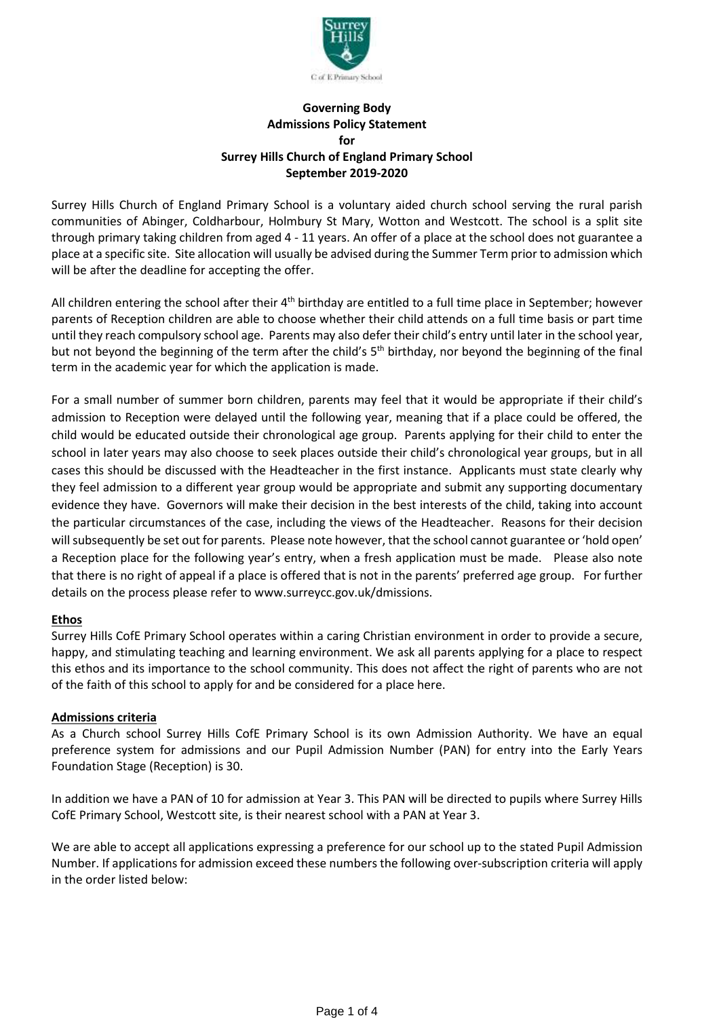

## **Governing Body Admissions Policy Statement for Surrey Hills Church of England Primary School September 2019-2020**

Surrey Hills Church of England Primary School is a voluntary aided church school serving the rural parish communities of Abinger, Coldharbour, Holmbury St Mary, Wotton and Westcott. The school is a split site through primary taking children from aged 4 - 11 years. An offer of a place at the school does not guarantee a place at a specific site. Site allocation will usually be advised during the Summer Term prior to admission which will be after the deadline for accepting the offer.

All children entering the school after their 4<sup>th</sup> birthday are entitled to a full time place in September; however parents of Reception children are able to choose whether their child attends on a full time basis or part time until they reach compulsory school age. Parents may also defer their child's entry until later in the school year, but not beyond the beginning of the term after the child's 5<sup>th</sup> birthday, nor beyond the beginning of the final term in the academic year for which the application is made.

For a small number of summer born children, parents may feel that it would be appropriate if their child's admission to Reception were delayed until the following year, meaning that if a place could be offered, the child would be educated outside their chronological age group. Parents applying for their child to enter the school in later years may also choose to seek places outside their child's chronological year groups, but in all cases this should be discussed with the Headteacher in the first instance. Applicants must state clearly why they feel admission to a different year group would be appropriate and submit any supporting documentary evidence they have. Governors will make their decision in the best interests of the child, taking into account the particular circumstances of the case, including the views of the Headteacher. Reasons for their decision willsubsequently be set out for parents. Please note however, that the school cannot guarantee or 'hold open' a Reception place for the following year's entry, when a fresh application must be made. Please also note that there is no right of appeal if a place is offered that is not in the parents' preferred age group. For further details on the process please refer to www.surreycc.gov.uk/dmissions.

## **Ethos**

Surrey Hills CofE Primary School operates within a caring Christian environment in order to provide a secure, happy, and stimulating teaching and learning environment. We ask all parents applying for a place to respect this ethos and its importance to the school community. This does not affect the right of parents who are not of the faith of this school to apply for and be considered for a place here.

## **Admissions criteria**

As a Church school Surrey Hills CofE Primary School is its own Admission Authority. We have an equal preference system for admissions and our Pupil Admission Number (PAN) for entry into the Early Years Foundation Stage (Reception) is 30.

In addition we have a PAN of 10 for admission at Year 3. This PAN will be directed to pupils where Surrey Hills CofE Primary School, Westcott site, is their nearest school with a PAN at Year 3.

We are able to accept all applications expressing a preference for our school up to the stated Pupil Admission Number. If applications for admission exceed these numbers the following over-subscription criteria will apply in the order listed below: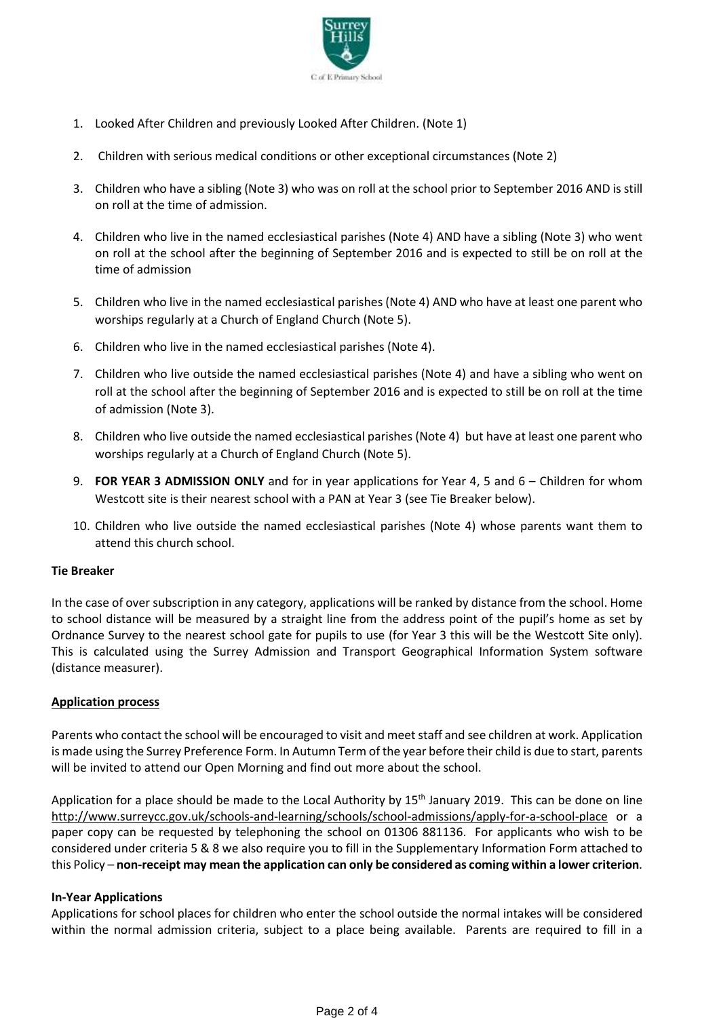

- 1. Looked After Children and previously Looked After Children. (Note 1)
- 2. Children with serious medical conditions or other exceptional circumstances (Note 2)
- 3. Children who have a sibling (Note 3) who was on roll at the school prior to September 2016 AND is still on roll at the time of admission.
- 4. Children who live in the named ecclesiastical parishes (Note 4) AND have a sibling (Note 3) who went on roll at the school after the beginning of September 2016 and is expected to still be on roll at the time of admission
- 5. Children who live in the named ecclesiastical parishes (Note 4) AND who have at least one parent who worships regularly at a Church of England Church (Note 5).
- 6. Children who live in the named ecclesiastical parishes (Note 4).
- 7. Children who live outside the named ecclesiastical parishes (Note 4) and have a sibling who went on roll at the school after the beginning of September 2016 and is expected to still be on roll at the time of admission (Note 3).
- 8. Children who live outside the named ecclesiastical parishes (Note 4) but have at least one parent who worships regularly at a Church of England Church (Note 5).
- 9. **FOR YEAR 3 ADMISSION ONLY** and for in year applications for Year 4, 5 and 6 Children for whom Westcott site is their nearest school with a PAN at Year 3 (see Tie Breaker below).
- 10. Children who live outside the named ecclesiastical parishes (Note 4) whose parents want them to attend this church school.

#### **Tie Breaker**

In the case of over subscription in any category, applications will be ranked by distance from the school. Home to school distance will be measured by a straight line from the address point of the pupil's home as set by Ordnance Survey to the nearest school gate for pupils to use (for Year 3 this will be the Westcott Site only). This is calculated using the Surrey Admission and Transport Geographical Information System software (distance measurer).

## **Application process**

Parents who contact the school will be encouraged to visit and meet staff and see children at work. Application is made using the Surrey Preference Form. In Autumn Term of the year before their child is due to start, parents will be invited to attend our Open Morning and find out more about the school.

Application for a place should be made to the Local Authority by 15<sup>th</sup> January 2019. This can be done on line <http://www.surreycc.gov.uk/schools-and-learning/schools/school-admissions/apply-for-a-school-place> or a paper copy can be requested by telephoning the school on 01306 881136. For applicants who wish to be considered under criteria 5 & 8 we also require you to fill in the Supplementary Information Form attached to this Policy – **non-receipt may mean the application can only be considered as coming within a lower criterion**.

#### **In-Year Applications**

Applications for school places for children who enter the school outside the normal intakes will be considered within the normal admission criteria, subject to a place being available. Parents are required to fill in a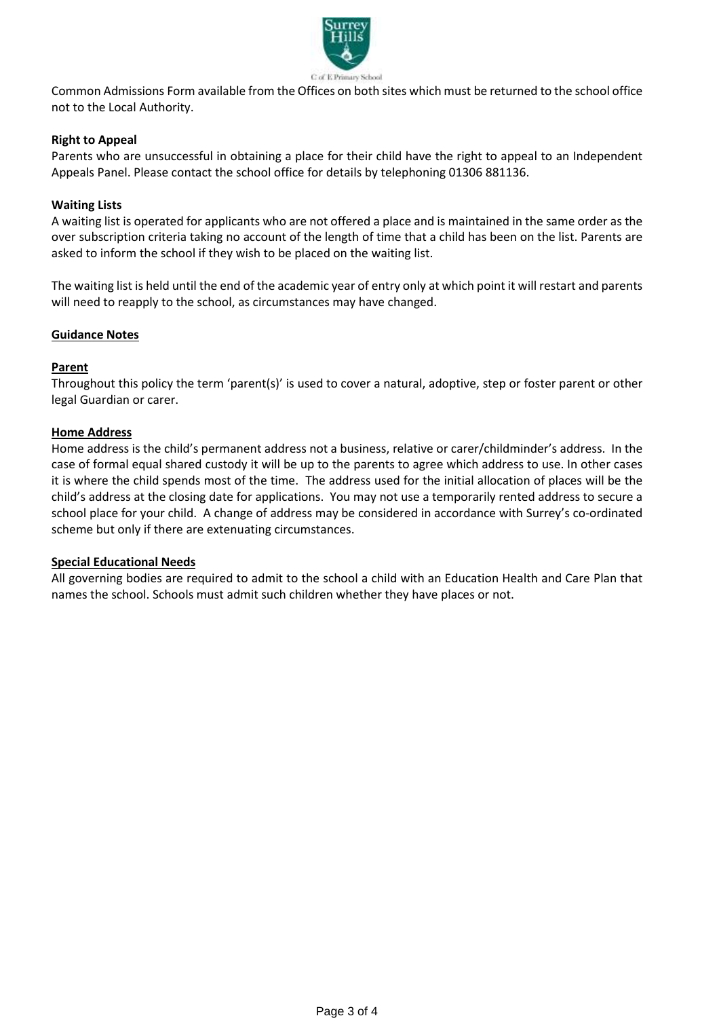

Common Admissions Form available from the Offices on both sites which must be returned to the school office not to the Local Authority.

# **Right to Appeal**

Parents who are unsuccessful in obtaining a place for their child have the right to appeal to an Independent Appeals Panel. Please contact the school office for details by telephoning 01306 881136.

## **Waiting Lists**

A waiting list is operated for applicants who are not offered a place and is maintained in the same order as the over subscription criteria taking no account of the length of time that a child has been on the list. Parents are asked to inform the school if they wish to be placed on the waiting list.

The waiting list is held until the end of the academic year of entry only at which point it will restart and parents will need to reapply to the school, as circumstances may have changed.

## **Guidance Notes**

## **Parent**

Throughout this policy the term 'parent(s)' is used to cover a natural, adoptive, step or foster parent or other legal Guardian or carer.

## **Home Address**

Home address is the child's permanent address not a business, relative or carer/childminder's address. In the case of formal equal shared custody it will be up to the parents to agree which address to use. In other cases it is where the child spends most of the time. The address used for the initial allocation of places will be the child's address at the closing date for applications. You may not use a temporarily rented address to secure a school place for your child. A change of address may be considered in accordance with Surrey's co-ordinated scheme but only if there are extenuating circumstances.

## **Special Educational Needs**

All governing bodies are required to admit to the school a child with an Education Health and Care Plan that names the school. Schools must admit such children whether they have places or not.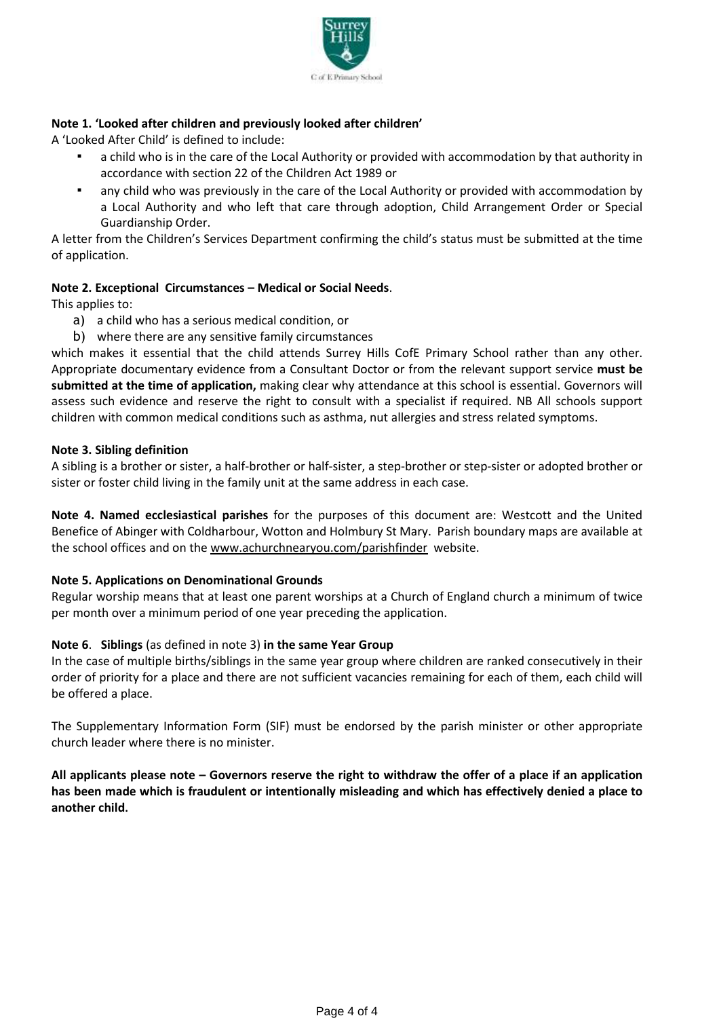

# **Note 1. 'Looked after children and previously looked after children'**

A 'Looked After Child' is defined to include:

- a child who is in the care of the Local Authority or provided with accommodation by that authority in accordance with section 22 of the Children Act 1989 or
- any child who was previously in the care of the Local Authority or provided with accommodation by a Local Authority and who left that care through adoption, Child Arrangement Order or Special Guardianship Order.

A letter from the Children's Services Department confirming the child's status must be submitted at the time of application.

# **Note 2. Exceptional Circumstances – Medical or Social Needs**.

This applies to:

- a) a child who has a serious medical condition, or
- b) where there are any sensitive family circumstances

which makes it essential that the child attends Surrey Hills CofE Primary School rather than any other. Appropriate documentary evidence from a Consultant Doctor or from the relevant support service **must be submitted at the time of application,** making clear why attendance at this school is essential. Governors will assess such evidence and reserve the right to consult with a specialist if required. NB All schools support children with common medical conditions such as asthma, nut allergies and stress related symptoms.

## **Note 3. Sibling definition**

A sibling is a brother or sister, a half-brother or half-sister, a step-brother or step-sister or adopted brother or sister or foster child living in the family unit at the same address in each case.

**Note 4. Named ecclesiastical parishes** for the purposes of this document are: Westcott and the United Benefice of Abinger with Coldharbour, Wotton and Holmbury St Mary. Parish boundary maps are available at the school offices and on the [www.achurchnearyou.com/parishfinder](http://www.achurchnearyou.com/parishfinder) website.

## **Note 5. Applications on Denominational Grounds**

Regular worship means that at least one parent worships at a Church of England church a minimum of twice per month over a minimum period of one year preceding the application.

## **Note 6**. **Siblings** (as defined in note 3) **in the same Year Group**

In the case of multiple births/siblings in the same year group where children are ranked consecutively in their order of priority for a place and there are not sufficient vacancies remaining for each of them, each child will be offered a place.

The Supplementary Information Form (SIF) must be endorsed by the parish minister or other appropriate church leader where there is no minister.

All applicants please note - Governors reserve the right to withdraw the offer of a place if an application **has been made which is fraudulent or intentionally misleading and which has effectively denied a place to another child.**